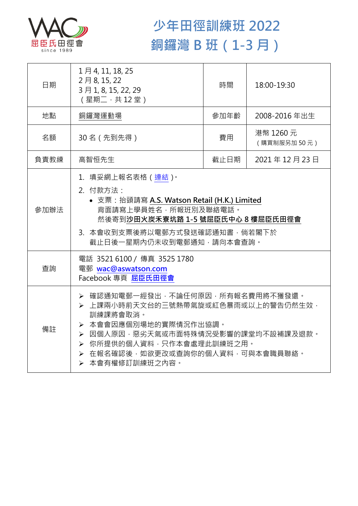

## **少年田徑訓練班 2022 銅鑼灣 B 班(1-3 月)**

| 日期   | 1月4, 11, 18, 25<br>2月8,15,22<br>3月1, 8, 15, 22, 29<br>(星期二,共12堂)                                                                                                                                                                      | 時間   | 18:00-19:30              |  |
|------|---------------------------------------------------------------------------------------------------------------------------------------------------------------------------------------------------------------------------------------|------|--------------------------|--|
| 地點   | 銅鑼灣運動場                                                                                                                                                                                                                                | 參加年齡 | 2008-2016 年出生            |  |
| 名額   | 30名 (先到先得)                                                                                                                                                                                                                            | 費用   | 港幣 1260 元<br>(購買制服另加50元) |  |
| 負責教練 | 高智恒先生                                                                                                                                                                                                                                 | 截止日期 | 2021年12月23日              |  |
| 參加辦法 | 1. 填妥網上報名表格 (連結)。<br>2. 付款方法:<br>• 支票: 抬頭請寫 A.S. Watson Retail (H.K.) Limited<br>背面請寫上學員姓名,所報班別及聯絡電話。<br>然後寄到沙田火炭禾寮坑路 1-5 號屈臣氏中心 8 樓屈臣氏田徑會<br>3. 本會收到支票後將以電郵方式發送確認通知書,倘若閣下於<br>截止日後一星期內仍未收到電郵通知,請向本會查詢。                               |      |                          |  |
| 查詢   | 電話 3521 6100 / 傳真 3525 1780<br>電郵 wac@aswatson.com<br>Facebook 專頁 屈臣氏田徑會                                                                                                                                                              |      |                          |  |
| 備註   | ▶ 確認通知電郵一經發出,不論任何原因,所有報名費用將不獲發還。<br>▶ 上課兩小時前天文台的三號熱帶氣旋或紅色暴雨或以上的警告仍然生效,<br>訓練課將會取消。<br>▶ 本會會因應個別場地的實際情況作出協調。<br>▶ 因個人原因,惡劣天氣或市面特殊情況受影響的課堂均不設補課及退款。<br>▶ 你所提供的個人資料,只作本會處理此訓練班之用。<br>> 在報名確認後,如欲更改或查詢你的個人資料,可與本會職員聯絡。<br>> 本會有權修訂訓練班之內容。 |      |                          |  |